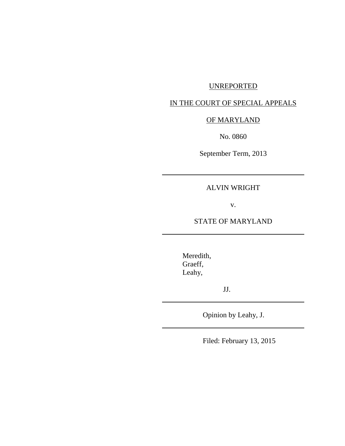# UNREPORTED

# IN THE COURT OF SPECIAL APPEALS

# OF MARYLAND

No. 0860

September Term, 2013

ALVIN WRIGHT

v.

STATE OF MARYLAND

Meredith, Graeff, Leahy,

JJ.

Opinion by Leahy, J.

Filed: February 13, 2015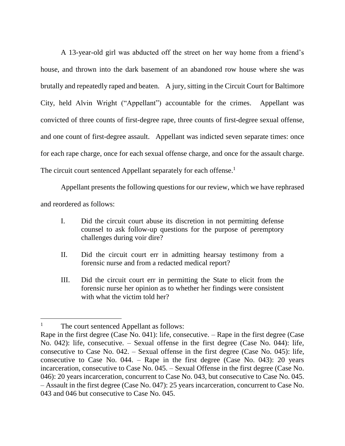A 13-year-old girl was abducted off the street on her way home from a friend's house, and thrown into the dark basement of an abandoned row house where she was brutally and repeatedly raped and beaten. A jury, sitting in the Circuit Court for Baltimore City, held Alvin Wright ("Appellant") accountable for the crimes. Appellant was convicted of three counts of first-degree rape, three counts of first-degree sexual offense, and one count of first-degree assault. Appellant was indicted seven separate times: once for each rape charge, once for each sexual offense charge, and once for the assault charge. The circuit court sentenced Appellant separately for each offense.<sup>1</sup>

Appellant presents the following questions for our review, which we have rephrased and reordered as follows:

- I. Did the circuit court abuse its discretion in not permitting defense counsel to ask follow-up questions for the purpose of peremptory challenges during voir dire?
- II. Did the circuit court err in admitting hearsay testimony from a forensic nurse and from a redacted medical report?
- III. Did the circuit court err in permitting the State to elicit from the forensic nurse her opinion as to whether her findings were consistent with what the victim told her?

 $\overline{a}$ 

<sup>&</sup>lt;sup>1</sup> The court sentenced Appellant as follows:

Rape in the first degree (Case No. 041): life, consecutive. – Rape in the first degree (Case No. 042): life, consecutive. – Sexual offense in the first degree (Case No. 044): life, consecutive to Case No. 042. – Sexual offense in the first degree (Case No. 045): life, consecutive to Case No. 044. – Rape in the first degree (Case No. 043): 20 years incarceration, consecutive to Case No. 045. – Sexual Offense in the first degree (Case No. 046): 20 years incarceration, concurrent to Case No. 043, but consecutive to Case No. 045. – Assault in the first degree (Case No. 047): 25 years incarceration, concurrent to Case No. 043 and 046 but consecutive to Case No. 045.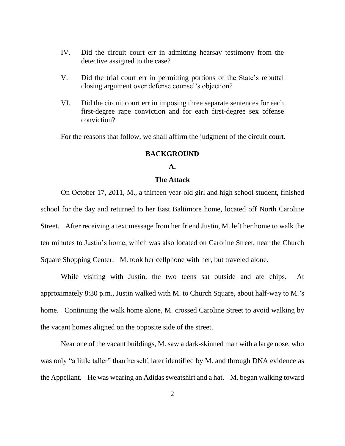- IV. Did the circuit court err in admitting hearsay testimony from the detective assigned to the case?
- V. Did the trial court err in permitting portions of the State's rebuttal closing argument over defense counsel's objection?
- VI. Did the circuit court err in imposing three separate sentences for each first-degree rape conviction and for each first-degree sex offense conviction?

For the reasons that follow, we shall affirm the judgment of the circuit court.

#### **BACKGROUND**

#### **A.**

#### **The Attack**

On October 17, 2011, M., a thirteen year-old girl and high school student, finished school for the day and returned to her East Baltimore home, located off North Caroline Street. After receiving a text message from her friend Justin, M. left her home to walk the ten minutes to Justin's home, which was also located on Caroline Street, near the Church Square Shopping Center. M. took her cellphone with her, but traveled alone.

While visiting with Justin, the two teens sat outside and ate chips. At approximately 8:30 p.m., Justin walked with M. to Church Square, about half-way to M.'s home. Continuing the walk home alone, M. crossed Caroline Street to avoid walking by the vacant homes aligned on the opposite side of the street.

Near one of the vacant buildings, M. saw a dark-skinned man with a large nose, who was only "a little taller" than herself, later identified by M. and through DNA evidence as the Appellant. He was wearing an Adidas sweatshirt and a hat. M. began walking toward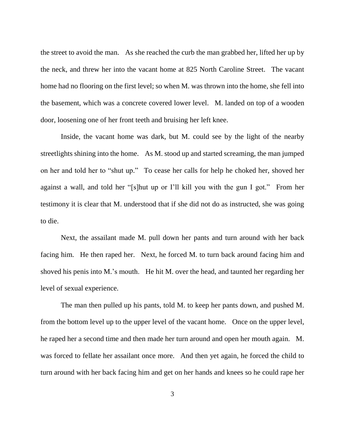the street to avoid the man. As she reached the curb the man grabbed her, lifted her up by the neck, and threw her into the vacant home at 825 North Caroline Street. The vacant home had no flooring on the first level; so when M. was thrown into the home, she fell into the basement, which was a concrete covered lower level. M. landed on top of a wooden door, loosening one of her front teeth and bruising her left knee.

Inside, the vacant home was dark, but M. could see by the light of the nearby streetlights shining into the home. As M. stood up and started screaming, the man jumped on her and told her to "shut up." To cease her calls for help he choked her, shoved her against a wall, and told her "[s]hut up or I'll kill you with the gun I got." From her testimony it is clear that M. understood that if she did not do as instructed, she was going to die.

Next, the assailant made M. pull down her pants and turn around with her back facing him. He then raped her. Next, he forced M. to turn back around facing him and shoved his penis into M.'s mouth. He hit M. over the head, and taunted her regarding her level of sexual experience.

The man then pulled up his pants, told M. to keep her pants down, and pushed M. from the bottom level up to the upper level of the vacant home. Once on the upper level, he raped her a second time and then made her turn around and open her mouth again. M. was forced to fellate her assailant once more. And then yet again, he forced the child to turn around with her back facing him and get on her hands and knees so he could rape her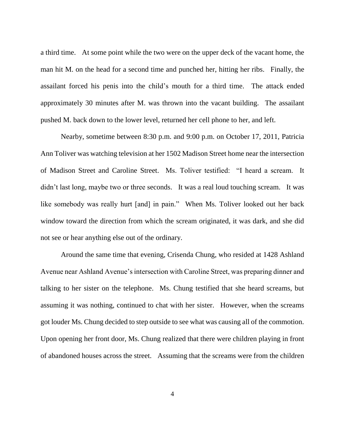a third time. At some point while the two were on the upper deck of the vacant home, the man hit M. on the head for a second time and punched her, hitting her ribs. Finally, the assailant forced his penis into the child's mouth for a third time. The attack ended approximately 30 minutes after M. was thrown into the vacant building. The assailant pushed M. back down to the lower level, returned her cell phone to her, and left.

Nearby, sometime between 8:30 p.m. and 9:00 p.m. on October 17, 2011, Patricia Ann Toliver was watching television at her 1502 Madison Street home near the intersection of Madison Street and Caroline Street. Ms. Toliver testified: "I heard a scream. It didn't last long, maybe two or three seconds. It was a real loud touching scream. It was like somebody was really hurt [and] in pain." When Ms. Toliver looked out her back window toward the direction from which the scream originated, it was dark, and she did not see or hear anything else out of the ordinary.

Around the same time that evening, Crisenda Chung, who resided at 1428 Ashland Avenue near Ashland Avenue's intersection with Caroline Street, was preparing dinner and talking to her sister on the telephone. Ms. Chung testified that she heard screams, but assuming it was nothing, continued to chat with her sister. However, when the screams got louder Ms. Chung decided to step outside to see what was causing all of the commotion. Upon opening her front door, Ms. Chung realized that there were children playing in front of abandoned houses across the street. Assuming that the screams were from the children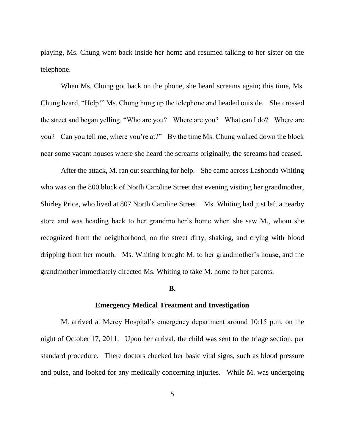playing, Ms. Chung went back inside her home and resumed talking to her sister on the telephone.

When Ms. Chung got back on the phone, she heard screams again; this time, Ms. Chung heard, "Help!" Ms. Chung hung up the telephone and headed outside. She crossed the street and began yelling, "Who are you? Where are you? What can I do? Where are you? Can you tell me, where you're at?" By the time Ms. Chung walked down the block near some vacant houses where she heard the screams originally, the screams had ceased.

After the attack, M. ran out searching for help. She came across Lashonda Whiting who was on the 800 block of North Caroline Street that evening visiting her grandmother, Shirley Price, who lived at 807 North Caroline Street. Ms. Whiting had just left a nearby store and was heading back to her grandmother's home when she saw M., whom she recognized from the neighborhood, on the street dirty, shaking, and crying with blood dripping from her mouth. Ms. Whiting brought M. to her grandmother's house, and the grandmother immediately directed Ms. Whiting to take M. home to her parents.

#### **B.**

## **Emergency Medical Treatment and Investigation**

M. arrived at Mercy Hospital's emergency department around 10:15 p.m. on the night of October 17, 2011. Upon her arrival, the child was sent to the triage section, per standard procedure. There doctors checked her basic vital signs, such as blood pressure and pulse, and looked for any medically concerning injuries. While M. was undergoing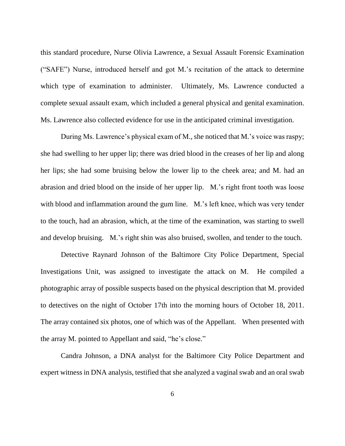this standard procedure, Nurse Olivia Lawrence, a Sexual Assault Forensic Examination ("SAFE") Nurse, introduced herself and got M.'s recitation of the attack to determine which type of examination to administer. Ultimately, Ms. Lawrence conducted a complete sexual assault exam, which included a general physical and genital examination. Ms. Lawrence also collected evidence for use in the anticipated criminal investigation.

During Ms. Lawrence's physical exam of M., she noticed that M.'s voice was raspy; she had swelling to her upper lip; there was dried blood in the creases of her lip and along her lips; she had some bruising below the lower lip to the cheek area; and M. had an abrasion and dried blood on the inside of her upper lip. M.'s right front tooth was loose with blood and inflammation around the gum line. M.'s left knee, which was very tender to the touch, had an abrasion, which, at the time of the examination, was starting to swell and develop bruising. M.'s right shin was also bruised, swollen, and tender to the touch.

Detective Raynard Johnson of the Baltimore City Police Department, Special Investigations Unit, was assigned to investigate the attack on M. He compiled a photographic array of possible suspects based on the physical description that M. provided to detectives on the night of October 17th into the morning hours of October 18, 2011. The array contained six photos, one of which was of the Appellant. When presented with the array M. pointed to Appellant and said, "he's close."

Candra Johnson, a DNA analyst for the Baltimore City Police Department and expert witness in DNA analysis, testified that she analyzed a vaginal swab and an oral swab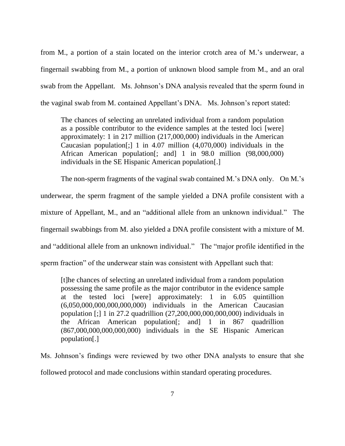from M., a portion of a stain located on the interior crotch area of M.'s underwear, a fingernail swabbing from M., a portion of unknown blood sample from M., and an oral swab from the Appellant. Ms. Johnson's DNA analysis revealed that the sperm found in the vaginal swab from M. contained Appellant's DNA. Ms. Johnson's report stated:

The chances of selecting an unrelated individual from a random population as a possible contributor to the evidence samples at the tested loci [were] approximately: 1 in 217 million (217,000,000) individuals in the American Caucasian population[;] 1 in 4.07 million (4,070,000) individuals in the African American population[; and] 1 in 98.0 million (98,000,000) individuals in the SE Hispanic American population[.]

The non-sperm fragments of the vaginal swab contained M.'s DNA only. On M.'s underwear, the sperm fragment of the sample yielded a DNA profile consistent with a mixture of Appellant, M., and an "additional allele from an unknown individual." The fingernail swabbings from M. also yielded a DNA profile consistent with a mixture of M. and "additional allele from an unknown individual." The "major profile identified in the sperm fraction" of the underwear stain was consistent with Appellant such that:

[t]he chances of selecting an unrelated individual from a random population possessing the same profile as the major contributor in the evidence sample at the tested loci [were] approximately: 1 in 6.05 quintillion (6,050,000,000,000,000,000) individuals in the American Caucasian population [;] 1 in 27.2 quadrillion (27,200,000,000,000,000) individuals in the African American population[; and] 1 in 867 quadrillion (867,000,000,000,000,000) individuals in the SE Hispanic American population[.]

Ms. Johnson's findings were reviewed by two other DNA analysts to ensure that she followed protocol and made conclusions within standard operating procedures.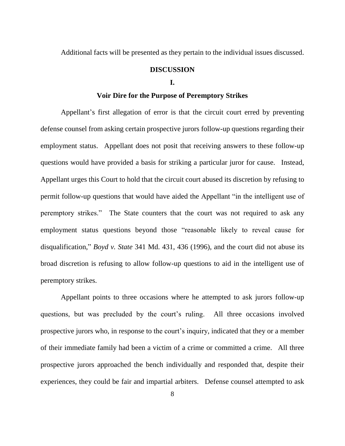Additional facts will be presented as they pertain to the individual issues discussed.

## **DISCUSSION**

#### **I.**

## **Voir Dire for the Purpose of Peremptory Strikes**

Appellant's first allegation of error is that the circuit court erred by preventing defense counsel from asking certain prospective jurors follow-up questions regarding their employment status. Appellant does not posit that receiving answers to these follow-up questions would have provided a basis for striking a particular juror for cause. Instead, Appellant urges this Court to hold that the circuit court abused its discretion by refusing to permit follow-up questions that would have aided the Appellant "in the intelligent use of peremptory strikes." The State counters that the court was not required to ask any employment status questions beyond those "reasonable likely to reveal cause for disqualification," *Boyd v. State* 341 Md. 431, 436 (1996), and the court did not abuse its broad discretion is refusing to allow follow-up questions to aid in the intelligent use of peremptory strikes.

Appellant points to three occasions where he attempted to ask jurors follow-up questions, but was precluded by the court's ruling. All three occasions involved prospective jurors who, in response to the court's inquiry, indicated that they or a member of their immediate family had been a victim of a crime or committed a crime. All three prospective jurors approached the bench individually and responded that, despite their experiences, they could be fair and impartial arbiters. Defense counsel attempted to ask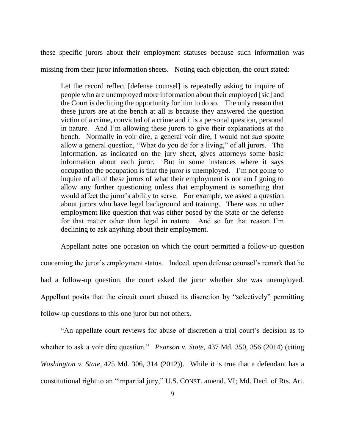these specific jurors about their employment statuses because such information was missing from their juror information sheets. Noting each objection, the court stated:

Let the record reflect [defense counsel] is repeatedly asking to inquire of people who are unemployed more information about their employed [sic] and the Court is declining the opportunity for him to do so. The only reason that these jurors are at the bench at all is because they answered the question victim of a crime, convicted of a crime and it is a personal question, personal in nature. And I'm allowing these jurors to give their explanations at the bench. Normally in voir dire, a general voir dire, I would not *sua sponte* allow a general question, "What do you do for a living," of all jurors. The information, as indicated on the jury sheet, gives attorneys some basic information about each juror. But in some instances where it says occupation the occupation is that the juror is unemployed. I'm not going to inquire of all of these jurors of what their employment is nor am I going to allow any further questioning unless that employment is something that would affect the juror's ability to serve. For example, we asked a question about jurors who have legal background and training. There was no other employment like question that was either posed by the State or the defense for that matter other than legal in nature. And so for that reason I'm declining to ask anything about their employment.

Appellant notes one occasion on which the court permitted a follow-up question concerning the juror's employment status. Indeed, upon defense counsel's remark that he had a follow-up question, the court asked the juror whether she was unemployed. Appellant posits that the circuit court abused its discretion by "selectively" permitting follow-up questions to this one juror but not others.

"An appellate court reviews for abuse of discretion a trial court's decision as to whether to ask a voir dire question." *Pearson v. State,* 437 Md. 350, 356 (2014) (citing *Washington v. State,* 425 Md. 306, 314 (2012)). While it is true that a defendant has a constitutional right to an "impartial jury," U.S. CONST. amend. VI; Md. Decl. of Rts. Art.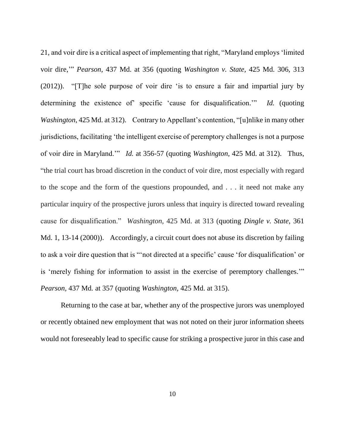21, and voir dire is a critical aspect of implementing that right, "Maryland employs 'limited voir dire,'" *Pearson*, 437 Md. at 356 (quoting *Washington v. State,* 425 Md. 306, 313 (2012)). "[T]he sole purpose of voir dire 'is to ensure a fair and impartial jury by determining the existence of' specific 'cause for disqualification.'" *Id.* (quoting *Washington*, 425 Md. at 312). Contrary to Appellant's contention, "[u]nlike in many other jurisdictions, facilitating 'the intelligent exercise of peremptory challenges is not a purpose of voir dire in Maryland.'" *Id.* at 356-57 (quoting *Washington,* 425 Md. at 312). Thus, "the trial court has broad discretion in the conduct of voir dire, most especially with regard to the scope and the form of the questions propounded, and . . . it need not make any particular inquiry of the prospective jurors unless that inquiry is directed toward revealing cause for disqualification." *Washington,* 425 Md. at 313 (quoting *Dingle v. State*, 361 Md. 1, 13-14 (2000)). Accordingly, a circuit court does not abuse its discretion by failing to ask a voir dire question that is "'not directed at a specific' cause 'for disqualification' or is 'merely fishing for information to assist in the exercise of peremptory challenges.'" *Pearson,* 437 Md*.* at 357 (quoting *Washington,* 425 Md. at 315).

Returning to the case at bar, whether any of the prospective jurors was unemployed or recently obtained new employment that was not noted on their juror information sheets would not foreseeably lead to specific cause for striking a prospective juror in this case and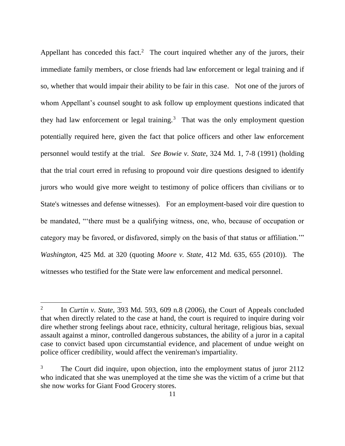Appellant has conceded this fact.<sup>2</sup> The court inquired whether any of the jurors, their immediate family members, or close friends had law enforcement or legal training and if so, whether that would impair their ability to be fair in this case. Not one of the jurors of whom Appellant's counsel sought to ask follow up employment questions indicated that they had law enforcement or legal training.<sup>3</sup> That was the only employment question potentially required here, given the fact that police officers and other law enforcement personnel would testify at the trial. *See Bowie v. State,* 324 Md. 1, 7-8 (1991) (holding that the trial court erred in refusing to propound voir dire questions designed to identify jurors who would give more weight to testimony of police officers than civilians or to State's witnesses and defense witnesses). For an employment-based voir dire question to be mandated, "'there must be a qualifying witness, one, who, because of occupation or category may be favored, or disfavored, simply on the basis of that status or affiliation.'" *Washington,* 425 Md. at 320 (quoting *Moore v. State,* 412 Md. 635, 655 (2010)). The witnesses who testified for the State were law enforcement and medical personnel.

 $\overline{a}$ 

<sup>2</sup> In *Curtin v. State,* 393 Md. 593, 609 n.8 (2006), the Court of Appeals concluded that when directly related to the case at hand, the court is required to inquire during voir dire whether strong feelings about race, ethnicity, cultural heritage, religious bias, sexual assault against a minor, controlled dangerous substances, the ability of a juror in a capital case to convict based upon circumstantial evidence, and placement of undue weight on police officer credibility, would affect the venireman's impartiality.

The Court did inquire, upon objection, into the employment status of juror 2112 who indicated that she was unemployed at the time she was the victim of a crime but that she now works for Giant Food Grocery stores.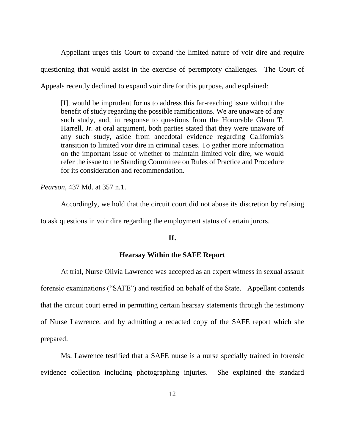Appellant urges this Court to expand the limited nature of voir dire and require questioning that would assist in the exercise of peremptory challenges. The Court of Appeals recently declined to expand voir dire for this purpose, and explained:

[I]t would be imprudent for us to address this far-reaching issue without the benefit of study regarding the possible ramifications. We are unaware of any such study, and, in response to questions from the Honorable Glenn T. Harrell, Jr. at oral argument, both parties stated that they were unaware of any such study, aside from anecdotal evidence regarding California's transition to limited voir dire in criminal cases. To gather more information on the important issue of whether to maintain limited voir dire, we would refer the issue to the Standing Committee on Rules of Practice and Procedure for its consideration and recommendation.

*Pearson,* 437 Md. at 357 n.1.

Accordingly, we hold that the circuit court did not abuse its discretion by refusing to ask questions in voir dire regarding the employment status of certain jurors.

## **II.**

### **Hearsay Within the SAFE Report**

At trial, Nurse Olivia Lawrence was accepted as an expert witness in sexual assault forensic examinations ("SAFE") and testified on behalf of the State. Appellant contends that the circuit court erred in permitting certain hearsay statements through the testimony of Nurse Lawrence, and by admitting a redacted copy of the SAFE report which she prepared.

Ms. Lawrence testified that a SAFE nurse is a nurse specially trained in forensic evidence collection including photographing injuries. She explained the standard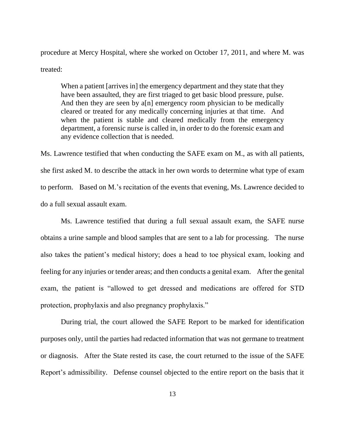procedure at Mercy Hospital, where she worked on October 17, 2011, and where M. was treated:

When a patient [arrives in] the emergency department and they state that they have been assaulted, they are first triaged to get basic blood pressure, pulse. And then they are seen by a[n] emergency room physician to be medically cleared or treated for any medically concerning injuries at that time. And when the patient is stable and cleared medically from the emergency department, a forensic nurse is called in, in order to do the forensic exam and any evidence collection that is needed.

Ms. Lawrence testified that when conducting the SAFE exam on M., as with all patients, she first asked M. to describe the attack in her own words to determine what type of exam to perform. Based on M.'s recitation of the events that evening, Ms. Lawrence decided to do a full sexual assault exam.

Ms. Lawrence testified that during a full sexual assault exam, the SAFE nurse obtains a urine sample and blood samples that are sent to a lab for processing. The nurse also takes the patient's medical history; does a head to toe physical exam, looking and feeling for any injuries or tender areas; and then conducts a genital exam. After the genital exam, the patient is "allowed to get dressed and medications are offered for STD protection, prophylaxis and also pregnancy prophylaxis."

During trial, the court allowed the SAFE Report to be marked for identification purposes only, until the parties had redacted information that was not germane to treatment or diagnosis. After the State rested its case, the court returned to the issue of the SAFE Report's admissibility. Defense counsel objected to the entire report on the basis that it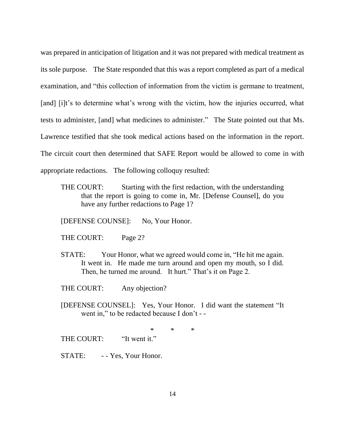was prepared in anticipation of litigation and it was not prepared with medical treatment as its sole purpose. The State responded that this was a report completed as part of a medical examination, and "this collection of information from the victim is germane to treatment, [and] [i]t's to determine what's wrong with the victim, how the injuries occurred, what tests to administer, [and] what medicines to administer." The State pointed out that Ms. Lawrence testified that she took medical actions based on the information in the report. The circuit court then determined that SAFE Report would be allowed to come in with appropriate redactions. The following colloquy resulted:

THE COURT: Starting with the first redaction, with the understanding that the report is going to come in, Mr. [Defense Counsel], do you have any further redactions to Page 1?

[DEFENSE COUNSE]: No, Your Honor.

THE COURT: Page 2?

STATE: Your Honor, what we agreed would come in, "He hit me again. It went in. He made me turn around and open my mouth, so I did. Then, he turned me around. It hurt." That's it on Page 2.

THE COURT: Any objection?

[DEFENSE COUNSEL]: Yes, Your Honor. I did want the statement "It went in," to be redacted because I don't - -

\* \* \* THE COURT: "It went it."

STATE: - Yes, Your Honor.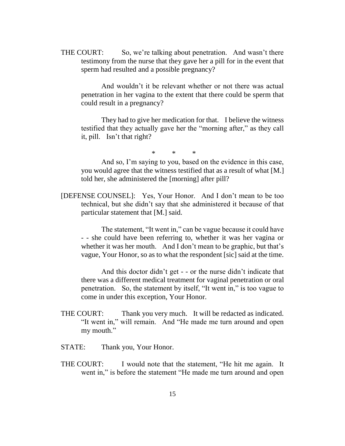THE COURT: So, we're talking about penetration. And wasn't there testimony from the nurse that they gave her a pill for in the event that sperm had resulted and a possible pregnancy?

And wouldn't it be relevant whether or not there was actual penetration in her vagina to the extent that there could be sperm that could result in a pregnancy?

They had to give her medication for that. I believe the witness testified that they actually gave her the "morning after," as they call it, pill. Isn't that right?

\* \* \*

And so, I'm saying to you, based on the evidence in this case, you would agree that the witness testified that as a result of what [M.] told her, she administered the [morning] after pill?

[DEFENSE COUNSEL]: Yes, Your Honor. And I don't mean to be too technical, but she didn't say that she administered it because of that particular statement that [M.] said.

The statement, "It went in," can be vague because it could have - - she could have been referring to, whether it was her vagina or whether it was her mouth. And I don't mean to be graphic, but that's vague, Your Honor, so as to what the respondent [sic] said at the time.

And this doctor didn't get - - or the nurse didn't indicate that there was a different medical treatment for vaginal penetration or oral penetration. So, the statement by itself, "It went in," is too vague to come in under this exception, Your Honor.

- THE COURT: Thank you very much. It will be redacted as indicated. "It went in," will remain. And "He made me turn around and open my mouth."
- STATE: Thank you, Your Honor.
- THE COURT: I would note that the statement, "He hit me again. It went in," is before the statement "He made me turn around and open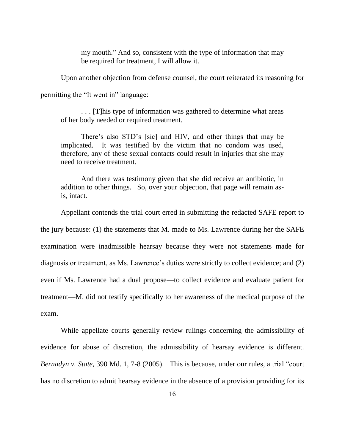my mouth." And so, consistent with the type of information that may be required for treatment, I will allow it.

Upon another objection from defense counsel, the court reiterated its reasoning for

permitting the "It went in" language:

. . . [T]his type of information was gathered to determine what areas of her body needed or required treatment.

There's also STD's [sic] and HIV, and other things that may be implicated. It was testified by the victim that no condom was used, therefore, any of these sexual contacts could result in injuries that she may need to receive treatment.

And there was testimony given that she did receive an antibiotic, in addition to other things. So, over your objection, that page will remain asis, intact.

Appellant contends the trial court erred in submitting the redacted SAFE report to the jury because: (1) the statements that M. made to Ms. Lawrence during her the SAFE examination were inadmissible hearsay because they were not statements made for diagnosis or treatment, as Ms. Lawrence's duties were strictly to collect evidence; and (2) even if Ms. Lawrence had a dual propose—to collect evidence and evaluate patient for treatment—M. did not testify specifically to her awareness of the medical purpose of the exam.

While appellate courts generally review rulings concerning the admissibility of evidence for abuse of discretion, the admissibility of hearsay evidence is different. *Bernadyn v. State,* 390 Md. 1, 7-8 (2005). This is because, under our rules, a trial "court has no discretion to admit hearsay evidence in the absence of a provision providing for its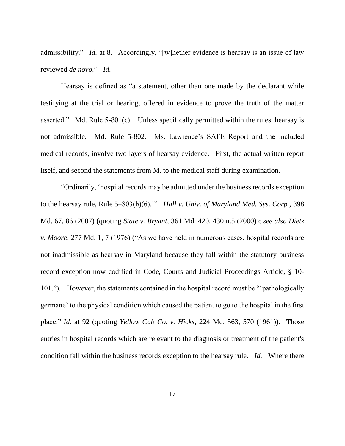admissibility." *Id.* at 8. Accordingly, "[w]hether evidence is hearsay is an issue of law reviewed *de novo*." *Id.*

Hearsay is defined as "a statement, other than one made by the declarant while testifying at the trial or hearing, offered in evidence to prove the truth of the matter asserted." Md. Rule 5-801(c). Unless specifically permitted within the rules, hearsay is not admissible. Md. Rule 5-802. Ms. Lawrence's SAFE Report and the included medical records, involve two layers of hearsay evidence. First, the actual written report itself, and second the statements from M. to the medical staff during examination.

"Ordinarily, 'hospital records may be admitted under the business records exception to the hearsay rule, Rule 5–803(b)(6).'" *Hall v. Univ. of Maryland Med. Sys. Corp.*, 398 Md. 67, 86 (2007) (quoting *State v. Bryant,* 361 Md. 420, 430 n.5 (2000)); *see also Dietz v. Moore*, 277 Md. 1, 7 (1976) ("As we have held in numerous cases, hospital records are not inadmissible as hearsay in Maryland because they fall within the statutory business record exception now codified in Code, Courts and Judicial Proceedings Article, § 10- 101."). However, the statements contained in the hospital record must be "'pathologically germane' to the physical condition which caused the patient to go to the hospital in the first place." *Id.* at 92 (quoting *Yellow Cab Co. v. Hicks,* 224 Md. 563, 570 (1961)). Those entries in hospital records which are relevant to the diagnosis or treatment of the patient's condition fall within the business records exception to the hearsay rule. *Id.* Where there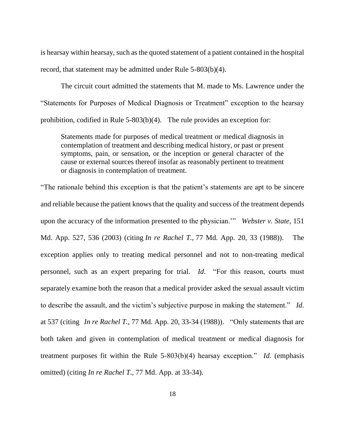is hearsay within hearsay, such as the quoted statement of a patient contained in the hospital record, that statement may be admitted under Rule 5-803(b)(4).

The circuit court admitted the statements that M. made to Ms. Lawrence under the "Statements for Purposes of Medical Diagnosis or Treatment" exception to the hearsay prohibition, codified in Rule 5-803(b)(4). The rule provides an exception for:

Statements made for purposes of medical treatment or medical diagnosis in contemplation of treatment and describing medical history, or past or present symptoms, pain, or sensation, or the inception or general character of the cause or external sources thereof insofar as reasonably pertinent to treatment or diagnosis in contemplation of treatment.

"The rationale behind this exception is that the patient's statements are apt to be sincere and reliable because the patient knows that the quality and success of the treatment depends upon the accuracy of the information presented to the physician.'" *Webster v. State,* 151 Md. App. 527, 536 (2003) (citing *In re Rachel T.,* 77 Md. App. 20, 33 (1988)). The exception applies only to treating medical personnel and not to non-treating medical personnel, such as an expert preparing for trial. *Id*. "For this reason, courts must separately examine both the reason that a medical provider asked the sexual assault victim to describe the assault, and the victim's subjective purpose in making the statement." *Id.* at 537 (citing *In re Rachel T.,* 77 Md. App. 20, 33-34 (1988)). "Only statements that are both taken and given in contemplation of medical treatment or medical diagnosis for treatment purposes fit within the Rule 5-803(b)(4) hearsay exception." *Id.* (emphasis omitted) (citing *In re Rachel T*., 77 Md. App. at 33-34).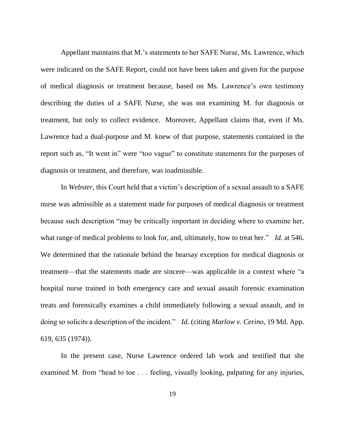Appellant maintains that M.'s statements to her SAFE Nurse, Ms. Lawrence, which were indicated on the SAFE Report, could not have been taken and given for the purpose of medical diagnosis or treatment because, based on Ms. Lawrence's own testimony describing the duties of a SAFE Nurse, she was not examining M. for diagnosis or treatment, but only to collect evidence. Moreover, Appellant claims that, even if Ms. Lawrence had a dual-purpose and M. knew of that purpose, statements contained in the report such as, "It went in" were "too vague" to constitute statements for the purposes of diagnosis or treatment, and therefore, was inadmissible.

In *Webster,* this Court held that a victim's description of a sexual assault to a SAFE nurse was admissible as a statement made for purposes of medical diagnosis or treatment because such description "may be critically important in deciding where to examine her, what range of medical problems to look for, and, ultimately, how to treat her." *Id.* at 546. We determined that the rationale behind the hearsay exception for medical diagnosis or treatment—that the statements made are sincere—was applicable in a context where "a hospital nurse trained in both emergency care and sexual assault forensic examination treats and forensically examines a child immediately following a sexual assault, and in doing so solicits a description of the incident." *Id.* (citing *Marlow v. Cerino,* 19 Md. App. 619, 635 (1974)).

In the present case, Nurse Lawrence ordered lab work and testified that she examined M. from "head to toe . . . feeling, visually looking, palpating for any injuries,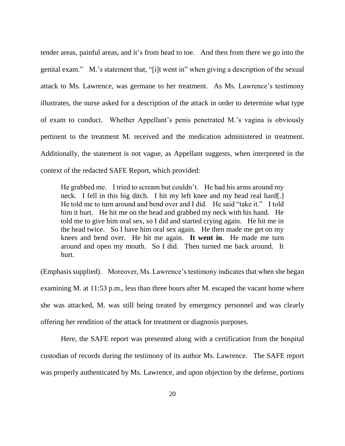tender areas, painful areas, and it's from head to toe. And then from there we go into the genital exam." M.'s statement that, "[i]t went in" when giving a description of the sexual attack to Ms. Lawrence, was germane to her treatment. As Ms. Lawrence's testimony illustrates, the nurse asked for a description of the attack in order to determine what type of exam to conduct. Whether Appellant's penis penetrated M.'s vagina is obviously pertinent to the treatment M. received and the medication administered in treatment. Additionally, the statement is not vague, as Appellant suggests, when interpreted in the context of the redacted SAFE Report, which provided:

He grabbed me. I tried to scream but couldn't. He had his arms around my neck. I fell in this big ditch. I hit my left knee and my head real hard[.] He told me to turn around and bend over and I did. He said "take it." I told him it hurt. He hit me on the head and grabbed my neck with his hand. He told me to give him oral sex, so I did and started crying again. He hit me in the head twice. So I have him oral sex again. He then made me get on my knees and bend over. He hit me again. **It went in**. He made me turn around and open my mouth. So I did. Then turned me back around. It hurt.

(Emphasis supplied). Moreover, Ms. Lawrence's testimony indicates that when she began examining M. at 11:53 p.m., less than three hours after M. escaped the vacant home where she was attacked, M. was still being treated by emergency personnel and was clearly offering her rendition of the attack for treatment or diagnosis purposes.

Here, the SAFE report was presented along with a certification from the hospital custodian of records during the testimony of its author Ms. Lawrence. The SAFE report was properly authenticated by Ms. Lawrence, and upon objection by the defense, portions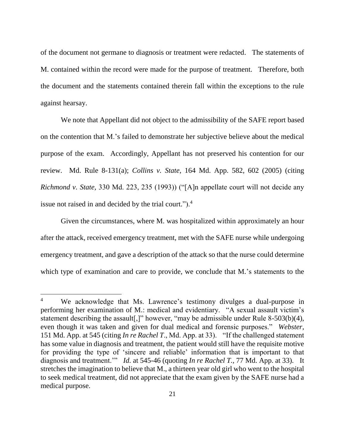of the document not germane to diagnosis or treatment were redacted. The statements of M. contained within the record were made for the purpose of treatment. Therefore, both the document and the statements contained therein fall within the exceptions to the rule against hearsay.

We note that Appellant did not object to the admissibility of the SAFE report based on the contention that M.'s failed to demonstrate her subjective believe about the medical purpose of the exam. Accordingly, Appellant has not preserved his contention for our review. Md. Rule 8-131(a); *Collins v. State*, 164 Md. App. 582, 602 (2005) (citing *Richmond v. State,* 330 Md. 223, 235 (1993)) ("[A]n appellate court will not decide any issue not raised in and decided by the trial court.").<sup>4</sup>

Given the circumstances, where M. was hospitalized within approximately an hour after the attack, received emergency treatment, met with the SAFE nurse while undergoing emergency treatment, and gave a description of the attack so that the nurse could determine which type of examination and care to provide, we conclude that M.'s statements to the

 $\overline{a}$ 

<sup>&</sup>lt;sup>4</sup> We acknowledge that Ms. Lawrence's testimony divulges a dual-purpose in performing her examination of M.: medical and evidentiary. "A sexual assault victim's statement describing the assault[,]" however, "may be admissible under Rule 8-503(b)(4), even though it was taken and given for dual medical and forensic purposes." *Webster,*  151 Md. App. at 545 (citing *In re Rachel T*., Md. App. at 33). "If the challenged statement has some value in diagnosis and treatment, the patient would still have the requisite motive for providing the type of 'sincere and reliable' information that is important to that diagnosis and treatment.'" *Id.* at 545-46 (quoting *In re Rachel T.,* 77 Md. App. at 33). It stretches the imagination to believe that M., a thirteen year old girl who went to the hospital to seek medical treatment, did not appreciate that the exam given by the SAFE nurse had a medical purpose.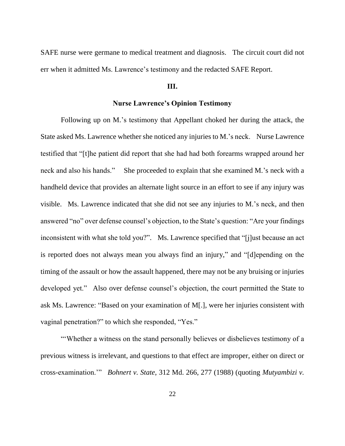SAFE nurse were germane to medical treatment and diagnosis. The circuit court did not err when it admitted Ms. Lawrence's testimony and the redacted SAFE Report.

## **III.**

## **Nurse Lawrence's Opinion Testimony**

Following up on M.'s testimony that Appellant choked her during the attack, the State asked Ms. Lawrence whether she noticed any injuries to M.'s neck. Nurse Lawrence testified that "[t]he patient did report that she had had both forearms wrapped around her neck and also his hands." She proceeded to explain that she examined M.'s neck with a handheld device that provides an alternate light source in an effort to see if any injury was visible. Ms. Lawrence indicated that she did not see any injuries to M.'s neck, and then answered "no" over defense counsel's objection, to the State's question: "Are your findings inconsistent with what she told you?". Ms. Lawrence specified that "[j]ust because an act is reported does not always mean you always find an injury," and "[d]epending on the timing of the assault or how the assault happened, there may not be any bruising or injuries developed yet." Also over defense counsel's objection, the court permitted the State to ask Ms. Lawrence: "Based on your examination of M[.], were her injuries consistent with vaginal penetration?" to which she responded, "Yes."

"'Whether a witness on the stand personally believes or disbelieves testimony of a previous witness is irrelevant, and questions to that effect are improper, either on direct or cross-examination.'" *Bohnert v. State*, 312 Md. 266, 277 (1988) (quoting *Mutyambizi v.*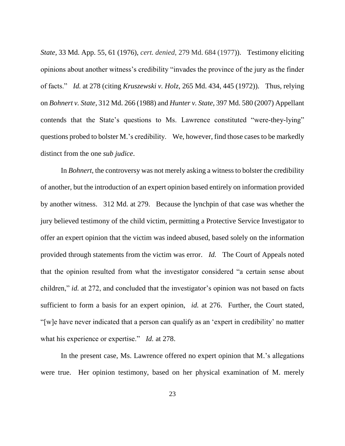*State,* 33 Md. App. 55, 61 (1976), *cert. denied*, 279 Md. 684 (1977)). Testimony eliciting opinions about another witness's credibility "invades the province of the jury as the finder of facts." *Id.* at 278 (citing *Kruszewski v. Holz,* 265 Md. 434, 445 (1972)). Thus, relying on *Bohnert v. State,* 312 Md. 266 (1988) and *Hunter v. State,* 397 Md. 580 (2007) Appellant contends that the State's questions to Ms. Lawrence constituted "were-they-lying" questions probed to bolster M.'s credibility. We, however, find those cases to be markedly distinct from the one *sub judice*.

In *Bohnert*, the controversy was not merely asking a witness to bolster the credibility of another, but the introduction of an expert opinion based entirely on information provided by another witness. 312 Md. at 279. Because the lynchpin of that case was whether the jury believed testimony of the child victim, permitting a Protective Service Investigator to offer an expert opinion that the victim was indeed abused, based solely on the information provided through statements from the victim was error. *Id.* The Court of Appeals noted that the opinion resulted from what the investigator considered "a certain sense about children," *id.* at 272, and concluded that the investigator's opinion was not based on facts sufficient to form a basis for an expert opinion, *id.* at 276. Further, the Court stated, "[w]e have never indicated that a person can qualify as an 'expert in credibility' no matter what his experience or expertise." *Id.* at 278.

In the present case, Ms. Lawrence offered no expert opinion that M.'s allegations were true. Her opinion testimony, based on her physical examination of M. merely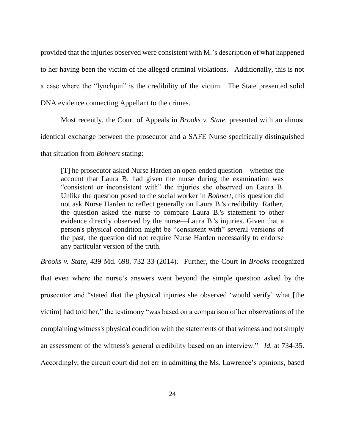provided that the injuries observed were consistent with M.'s description of what happened to her having been the victim of the alleged criminal violations. Additionally, this is not a case where the "lynchpin" is the credibility of the victim. The State presented solid DNA evidence connecting Appellant to the crimes.

Most recently, the Court of Appeals in *Brooks v. State,* presented with an almost identical exchange between the prosecutor and a SAFE Nurse specifically distinguished

that situation from *Bohnert* stating:

[T] he prosecutor asked Nurse Harden an open-ended question—whether the account that Laura B. had given the nurse during the examination was "consistent or inconsistent with" the injuries she observed on Laura B. Unlike the question posed to the social worker in *Bohnert,* this question did not ask Nurse Harden to reflect generally on Laura B.'s credibility. Rather, the question asked the nurse to compare Laura B.'s statement to other evidence directly observed by the nurse—Laura B.'s injuries. Given that a person's physical condition might be "consistent with" several versions of the past, the question did not require Nurse Harden necessarily to endorse any particular version of the truth.

*Brooks v. State*, 439 Md. 698, 732-33 (2014). Further, the Court in *Brooks* recognized that even where the nurse's answers went beyond the simple question asked by the prosecutor and "stated that the physical injuries she observed 'would verify' what [the victim] had told her," the testimony "was based on a comparison of her observations of the complaining witness's physical condition with the statements of that witness and not simply an assessment of the witness's general credibility based on an interview." *Id.* at 734-35. Accordingly, the circuit court did not err in admitting the Ms. Lawrence's opinions, based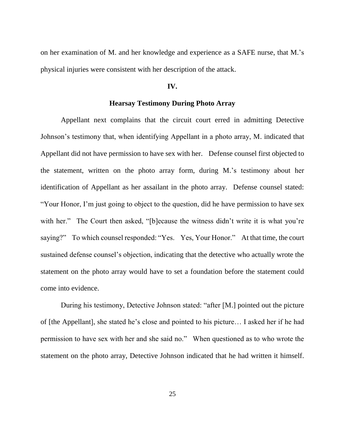on her examination of M. and her knowledge and experience as a SAFE nurse, that M.'s physical injuries were consistent with her description of the attack.

#### **IV.**

## **Hearsay Testimony During Photo Array**

Appellant next complains that the circuit court erred in admitting Detective Johnson's testimony that, when identifying Appellant in a photo array, M. indicated that Appellant did not have permission to have sex with her. Defense counsel first objected to the statement, written on the photo array form, during M.'s testimony about her identification of Appellant as her assailant in the photo array. Defense counsel stated: "Your Honor, I'm just going to object to the question, did he have permission to have sex with her." The Court then asked, "[b]ecause the witness didn't write it is what you're saying?" To which counsel responded: "Yes. Yes, Your Honor." At that time, the court sustained defense counsel's objection, indicating that the detective who actually wrote the statement on the photo array would have to set a foundation before the statement could come into evidence.

During his testimony, Detective Johnson stated: "after [M.] pointed out the picture of [the Appellant], she stated he's close and pointed to his picture… I asked her if he had permission to have sex with her and she said no." When questioned as to who wrote the statement on the photo array, Detective Johnson indicated that he had written it himself.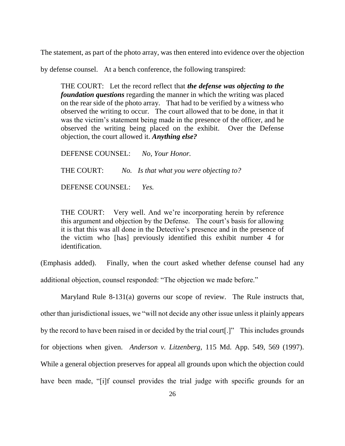The statement, as part of the photo array, was then entered into evidence over the objection

by defense counsel. At a bench conference, the following transpired:

THE COURT: Let the record reflect that *the defense was objecting to the foundation questions* regarding the manner in which the writing was placed on the rear side of the photo array. That had to be verified by a witness who observed the writing to occur. The court allowed that to be done, in that it was the victim's statement being made in the presence of the officer, and he observed the writing being placed on the exhibit. Over the Defense objection, the court allowed it. *Anything else?*

DEFENSE COUNSEL: *No, Your Honor.* THE COURT: *No. Is that what you were objecting to?* DEFENSE COUNSEL: *Yes.*

THE COURT: Very well. And we're incorporating herein by reference this argument and objection by the Defense. The court's basis for allowing it is that this was all done in the Detective's presence and in the presence of the victim who [has] previously identified this exhibit number 4 for identification.

(Emphasis added). Finally, when the court asked whether defense counsel had any additional objection, counsel responded: "The objection we made before."

Maryland Rule 8-131(a) governs our scope of review. The Rule instructs that, other than jurisdictional issues, we "will not decide any other issue unless it plainly appears by the record to have been raised in or decided by the trial court[.]" This includes grounds for objections when given. *Anderson v. Litzenberg,* 115 Md. App. 549, 569 (1997). While a general objection preserves for appeal all grounds upon which the objection could have been made, "[i]f counsel provides the trial judge with specific grounds for an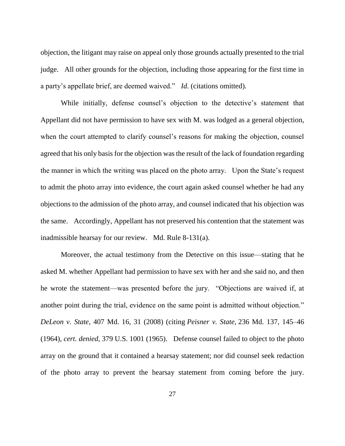objection, the litigant may raise on appeal only those grounds actually presented to the trial judge. All other grounds for the objection, including those appearing for the first time in a party's appellate brief, are deemed waived." *Id.* (citations omitted).

While initially, defense counsel's objection to the detective's statement that Appellant did not have permission to have sex with M. was lodged as a general objection, when the court attempted to clarify counsel's reasons for making the objection, counsel agreed that his only basis for the objection was the result of the lack of foundation regarding the manner in which the writing was placed on the photo array. Upon the State's request to admit the photo array into evidence, the court again asked counsel whether he had any objections to the admission of the photo array, and counsel indicated that his objection was the same. Accordingly, Appellant has not preserved his contention that the statement was inadmissible hearsay for our review. Md. Rule 8-131(a).

Moreover, the actual testimony from the Detective on this issue—stating that he asked M. whether Appellant had permission to have sex with her and she said no, and then he wrote the statement—was presented before the jury. "Objections are waived if, at another point during the trial, evidence on the same point is admitted without objection." *DeLeon v. State,* 407 Md. 16, 31 (2008) (citing *Peisner v. State,* 236 Md. 137, 145–46 (1964), *cert. denied,* 379 U.S. 1001 (1965). Defense counsel failed to object to the photo array on the ground that it contained a hearsay statement; nor did counsel seek redaction of the photo array to prevent the hearsay statement from coming before the jury.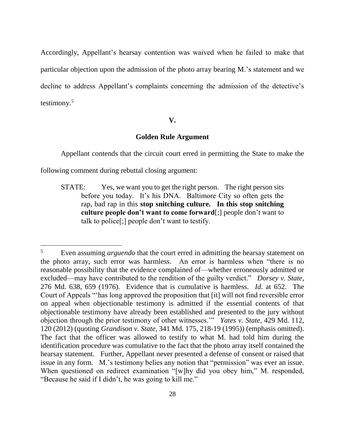Accordingly, Appellant's hearsay contention was waived when he failed to make that particular objection upon the admission of the photo array bearing M.'s statement and we decline to address Appellant's complaints concerning the admission of the detective's testimony.<sup>5</sup>

#### **V.**

## **Golden Rule Argument**

Appellant contends that the circuit court erred in permitting the State to make the

following comment during rebuttal closing argument:

 $\overline{a}$ 

STATE: Yes, we want you to get the right person. The right person sits before you today. It's his DNA. Baltimore City so often gets the rap, bad rap in this **stop snitching culture. In this stop snitching culture people don't want to come forward**[;] people don't want to talk to police[;] people don't want to testify.

<sup>5</sup> Even assuming *arguendo* that the court erred in admitting the hearsay statement on the photo array, such error was harmless. An error is harmless when "there is no reasonable possibility that the evidence complained of—whether erroneously admitted or excluded—may have contributed to the rendition of the guilty verdict." *Dorsey v. State,*  276 Md. 638, 659 (1976). Evidence that is cumulative is harmless. *Id.* at 652. The Court of Appeals "'has long approved the proposition that [it] will not find reversible error on appeal when objectionable testimony is admitted if the essential contents of that objectionable testimony have already been established and presented to the jury without objection through the prior testimony of other witnesses.'" *Yates v. State,* 429 Md. 112, 120 (2012) (quoting *Grandison v. State,* 341 Md. 175, 218-19 (1995)) (emphasis omitted). The fact that the officer was allowed to testify to what M. had told him during the identification procedure was cumulative to the fact that the photo array itself contained the hearsay statement. Further, Appellant never presented a defense of consent or raised that issue in any form. M.'s testimony belies any notion that "permission" was ever an issue. When questioned on redirect examination "[w]hy did you obey him," M. responded, "Because he said if I didn't, he was going to kill me."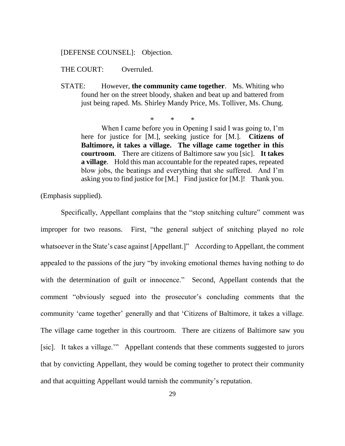### [DEFENSE COUNSEL]: Objection.

THE COURT: Overruled.

STATE: However, **the community came together**. Ms. Whiting who found her on the street bloody, shaken and beat up and battered from just being raped. Ms. Shirley Mandy Price, Ms. Tolliver, Ms. Chung.

\* \* \*

When I came before you in Opening I said I was going to, I'm here for justice for [M.], seeking justice for [M.]. **Citizens of Baltimore, it takes a village. The village came together in this courtroom**. There are citizens of Baltimore saw you [sic]. **It takes a village**. Hold this man accountable for the repeated rapes, repeated blow jobs, the beatings and everything that she suffered. And I'm asking you to find justice for [M.] Find justice for [M.]! Thank you.

(Emphasis supplied).

Specifically, Appellant complains that the "stop snitching culture" comment was improper for two reasons. First, "the general subject of snitching played no role whatsoever in the State's case against [Appellant.]" According to Appellant, the comment appealed to the passions of the jury "by invoking emotional themes having nothing to do with the determination of guilt or innocence." Second, Appellant contends that the comment "obviously segued into the prosecutor's concluding comments that the community 'came together' generally and that 'Citizens of Baltimore, it takes a village. The village came together in this courtroom. There are citizens of Baltimore saw you [sic]. It takes a village.'" Appellant contends that these comments suggested to jurors that by convicting Appellant, they would be coming together to protect their community and that acquitting Appellant would tarnish the community's reputation.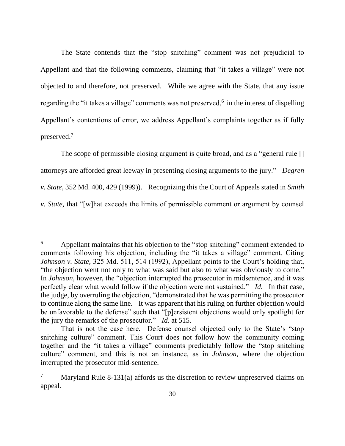The State contends that the "stop snitching" comment was not prejudicial to Appellant and that the following comments, claiming that "it takes a village" were not objected to and therefore, not preserved. While we agree with the State, that any issue regarding the "it takes a village" comments was not preserved,<sup>6</sup> in the interest of dispelling Appellant's contentions of error, we address Appellant's complaints together as if fully preserved.<sup>7</sup>

The scope of permissible closing argument is quite broad, and as a "general rule [] attorneys are afforded great leeway in presenting closing arguments to the jury." *Degren v. State,* 352 Md. 400, 429 (1999)). Recognizing this the Court of Appeals stated in *Smith v. State,* that "[w]hat exceeds the limits of permissible comment or argument by counsel

 $\overline{a}$ 

<sup>&</sup>lt;sup>6</sup> Appellant maintains that his objection to the "stop snitching" comment extended to comments following his objection, including the "it takes a village" comment. Citing *Johnson v. State,* 325 Md. 511, 514 (1992), Appellant points to the Court's holding that, "the objection went not only to what was said but also to what was obviously to come." In *Johnson,* however, the "objection interrupted the prosecutor in midsentence, and it was perfectly clear what would follow if the objection were not sustained." *Id.* In that case, the judge, by overruling the objection, "demonstrated that he was permitting the prosecutor to continue along the same line. It was apparent that his ruling on further objection would be unfavorable to the defense" such that "[p]ersistent objections would only spotlight for the jury the remarks of the prosecutor." *Id.* at 515.

That is not the case here. Defense counsel objected only to the State's "stop snitching culture" comment. This Court does not follow how the community coming together and the "it takes a village" comments predictably follow the "stop snitching culture" comment, and this is not an instance, as in *Johnson*, where the objection interrupted the prosecutor mid-sentence.

Maryland Rule 8-131(a) affords us the discretion to review unpreserved claims on appeal.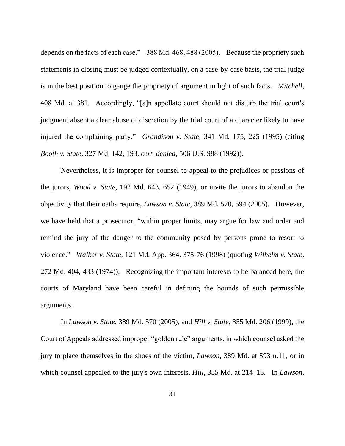depends on the facts of each case." 388 Md. 468, 488 (2005). Because the propriety such statements in closing must be judged contextually, on a case-by-case basis, the trial judge is in the best position to gauge the propriety of argument in light of such facts. *Mitchell*, 408 Md. at 381. Accordingly, "[a]n appellate court should not disturb the trial court's judgment absent a clear abuse of discretion by the trial court of a character likely to have injured the complaining party." *Grandison v. State,* 341 Md. 175, 225 (1995) (citing *Booth v. State,* 327 Md. 142, 193, *cert. denied,* 506 U.S. 988 (1992)).

Nevertheless, it is improper for counsel to appeal to the prejudices or passions of the jurors, *Wood v. State,* 192 Md. 643, 652 (1949), or invite the jurors to abandon the objectivity that their oaths require, *Lawson v. State,* 389 Md. 570, 594 (2005). However, we have held that a prosecutor, "within proper limits, may argue for law and order and remind the jury of the danger to the community posed by persons prone to resort to violence." *Walker v. State*, 121 Md. App. 364, 375-76 (1998) (quoting *Wilhelm v. State,* 272 Md. 404, 433 (1974)). Recognizing the important interests to be balanced here, the courts of Maryland have been careful in defining the bounds of such permissible arguments.

In *Lawson v. State*, 389 Md. 570 (2005), and *Hill v. State*, 355 Md. 206 (1999), the Court of Appeals addressed improper "golden rule" arguments, in which counsel asked the jury to place themselves in the shoes of the victim, *Lawson,* 389 Md. at 593 n.11, or in which counsel appealed to the jury's own interests, *Hill,* 355 Md. at 214–15. In *Lawson*,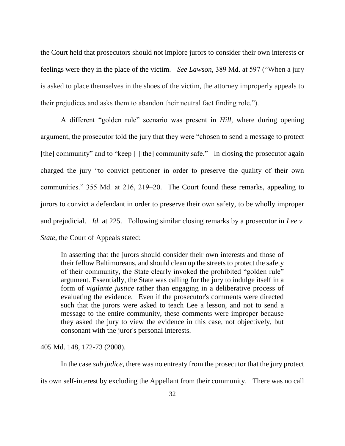the Court held that prosecutors should not implore jurors to consider their own interests or feelings were they in the place of the victim. *See Lawson,* 389 Md. at 597 ("When a jury is asked to place themselves in the shoes of the victim, the attorney improperly appeals to their prejudices and asks them to abandon their neutral fact finding role.").

A different "golden rule" scenario was present in *Hill,* where during opening argument, the prosecutor told the jury that they were "chosen to send a message to protect [the] community" and to "keep [] [the] community safe." In closing the prosecutor again charged the jury "to convict petitioner in order to preserve the quality of their own communities." 355 Md. at 216, 219–20. The Court found these remarks, appealing to jurors to convict a defendant in order to preserve their own safety, to be wholly improper and prejudicial. *Id.* at 225. Following similar closing remarks by a prosecutor in *Lee v. State*, the Court of Appeals stated:

In asserting that the jurors should consider their own interests and those of their fellow Baltimoreans, and should clean up the streets to protect the safety of their community, the State clearly invoked the prohibited "golden rule" argument. Essentially, the State was calling for the jury to indulge itself in a form of *vigilante justice* rather than engaging in a deliberative process of evaluating the evidence. Even if the prosecutor's comments were directed such that the jurors were asked to teach Lee a lesson, and not to send a message to the entire community, these comments were improper because they asked the jury to view the evidence in this case, not objectively, but consonant with the juror's personal interests.

405 Md. 148, 172-73 (2008).

In the case *sub judice*, there was no entreaty from the prosecutor that the jury protect its own self-interest by excluding the Appellant from their community. There was no call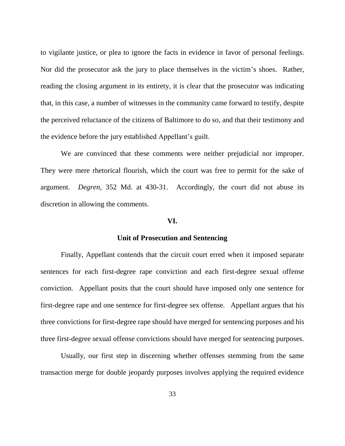to vigilante justice, or plea to ignore the facts in evidence in favor of personal feelings. Nor did the prosecutor ask the jury to place themselves in the victim's shoes. Rather, reading the closing argument in its entirety, it is clear that the prosecutor was indicating that, in this case, a number of witnesses in the community came forward to testify, despite the perceived reluctance of the citizens of Baltimore to do so, and that their testimony and the evidence before the jury established Appellant's guilt.

We are convinced that these comments were neither prejudicial nor improper. They were mere rhetorical flourish, which the court was free to permit for the sake of argument. *Degren,* 352 Md. at 430-31. Accordingly, the court did not abuse its discretion in allowing the comments.

### **VI.**

#### **Unit of Prosecution and Sentencing**

Finally, Appellant contends that the circuit court erred when it imposed separate sentences for each first-degree rape conviction and each first-degree sexual offense conviction. Appellant posits that the court should have imposed only one sentence for first-degree rape and one sentence for first-degree sex offense. Appellant argues that his three convictions for first-degree rape should have merged for sentencing purposes and his three first-degree sexual offense convictions should have merged for sentencing purposes.

Usually, our first step in discerning whether offenses stemming from the same transaction merge for double jeopardy purposes involves applying the required evidence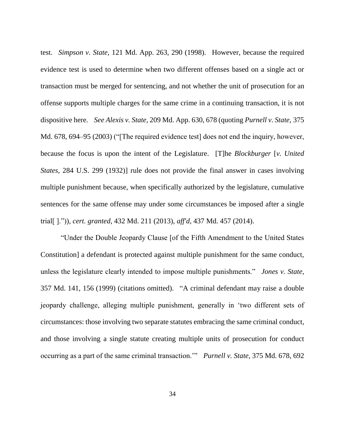test. *Simpson v. State,* 121 Md. App. 263, 290 (1998). However, because the required evidence test is used to determine when two different offenses based on a single act or transaction must be merged for sentencing, and not whether the unit of prosecution for an offense supports multiple charges for the same crime in a continuing transaction, it is not dispositive here. *See Alexis v. State*, 209 Md. App. 630, 678 (quoting *Purnell v. State,* 375 Md. 678, 694–95 (2003) ("[The required evidence test] does not end the inquiry, however, because the focus is upon the intent of the Legislature. [T]he *Blockburger* [*v. United States,* 284 U.S. 299 (1932)] rule does not provide the final answer in cases involving multiple punishment because, when specifically authorized by the legislature, cumulative sentences for the same offense may under some circumstances be imposed after a single trial[ ].")), *cert. granted,* 432 Md. 211 (2013), *aff'd,* 437 Md. 457 (2014).

"Under the Double Jeopardy Clause [of the Fifth Amendment to the United States Constitution] a defendant is protected against multiple punishment for the same conduct, unless the legislature clearly intended to impose multiple punishments." *Jones v. State,* 357 Md. 141, 156 (1999) (citations omitted). "A criminal defendant may raise a double jeopardy challenge, alleging multiple punishment, generally in 'two different sets of circumstances: those involving two separate statutes embracing the same criminal conduct, and those involving a single statute creating multiple units of prosecution for conduct occurring as a part of the same criminal transaction.'" *Purnell v. State*, 375 Md. 678, 692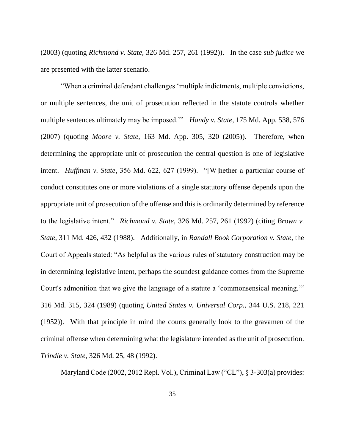(2003) (quoting *Richmond v. State,* 326 Md. 257, 261 (1992)). In the case *sub judice* we are presented with the latter scenario.

"When a criminal defendant challenges 'multiple indictments, multiple convictions, or multiple sentences, the unit of prosecution reflected in the statute controls whether multiple sentences ultimately may be imposed.'" *Handy v. State,* 175 Md. App. 538, 576 (2007) (quoting *Moore v. State,* 163 Md. App. 305, 320 (2005)). Therefore, when determining the appropriate unit of prosecution the central question is one of legislative intent. *Huffman v. State*, 356 Md. 622, 627 (1999). "[W]hether a particular course of conduct constitutes one or more violations of a single statutory offense depends upon the appropriate unit of prosecution of the offense and this is ordinarily determined by reference to the legislative intent." *Richmond v. State,* 326 Md. 257, 261 (1992) (citing *Brown v. State*, 311 Md. 426, 432 (1988). Additionally, in *Randall Book Corporation v. State*, the Court of Appeals stated: "As helpful as the various rules of statutory construction may be in determining legislative intent, perhaps the soundest guidance comes from the Supreme Court's admonition that we give the language of a statute a 'commonsensical meaning.'" 316 Md. 315, 324 (1989) (quoting *United States v. Universal Corp.,* 344 U.S. 218, 221 (1952)). With that principle in mind the courts generally look to the gravamen of the criminal offense when determining what the legislature intended as the unit of prosecution. *Trindle v. State*, 326 Md. 25, 48 (1992).

Maryland Code (2002, 2012 Repl. Vol.), Criminal Law ("CL"), § 3-303(a) provides: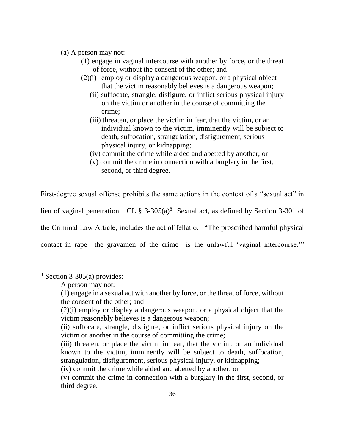- (a) A person may not:
	- (1) engage in vaginal intercourse with another by force, or the threat of force, without the consent of the other; and
	- (2)(i) employ or display a dangerous weapon, or a physical object that the victim reasonably believes is a dangerous weapon;
		- (ii) suffocate, strangle, disfigure, or inflict serious physical injury on the victim or another in the course of committing the crime;
		- (iii) threaten, or place the victim in fear, that the victim, or an individual known to the victim, imminently will be subject to death, suffocation, strangulation, disfigurement, serious physical injury, or kidnapping;
		- (iv) commit the crime while aided and abetted by another; or
		- (v) commit the crime in connection with a burglary in the first, second, or third degree.

First-degree sexual offense prohibits the same actions in the context of a "sexual act" in lieu of vaginal penetration. CL  $\S$  3-305(a)<sup>8</sup> Sexual act, as defined by Section 3-301 of the Criminal Law Article, includes the act of fellatio. "The proscribed harmful physical contact in rape—the gravamen of the crime—is the unlawful 'vaginal intercourse.'"

 $\overline{a}$ 

(iii) threaten, or place the victim in fear, that the victim, or an individual known to the victim, imminently will be subject to death, suffocation, strangulation, disfigurement, serious physical injury, or kidnapping;

(iv) commit the crime while aided and abetted by another; or

 $8$  Section 3-305(a) provides:

A person may not:

<sup>(1)</sup> engage in a sexual act with another by force, or the threat of force, without the consent of the other; and

<sup>(2)(</sup>i) employ or display a dangerous weapon, or a physical object that the victim reasonably believes is a dangerous weapon;

<sup>(</sup>ii) suffocate, strangle, disfigure, or inflict serious physical injury on the victim or another in the course of committing the crime;

<sup>(</sup>v) commit the crime in connection with a burglary in the first, second, or third degree.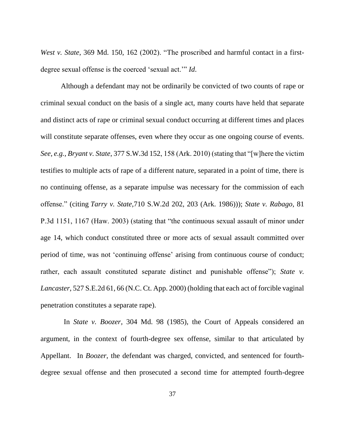*West v. State*, 369 Md. 150, 162 (2002). "The proscribed and harmful contact in a firstdegree sexual offense is the coerced 'sexual act.'" *Id*.

Although a defendant may not be ordinarily be convicted of two counts of rape or criminal sexual conduct on the basis of a single act, many courts have held that separate and distinct acts of rape or criminal sexual conduct occurring at different times and places will constitute separate offenses, even where they occur as one ongoing course of events. *See, e.g., Bryant v. State*, 377 S.W.3d 152, 158 (Ark. 2010) (stating that "[w]here the victim testifies to multiple acts of rape of a different nature, separated in a point of time, there is no continuing offense, as a separate impulse was necessary for the commission of each offense." (citing *Tarry v. State,*710 S.W.2d 202, 203 (Ark. 1986))); *State v. Rabago*, 81 P.3d 1151, 1167 (Haw. 2003) (stating that "the continuous sexual assault of minor under age 14, which conduct constituted three or more acts of sexual assault committed over period of time, was not 'continuing offense' arising from continuous course of conduct; rather, each assault constituted separate distinct and punishable offense"); *State v. Lancaster*, 527 S.E.2d 61, 66 (N.C. Ct. App. 2000) (holding that each act of forcible vaginal penetration constitutes a separate rape).

In *State v. Boozer,* 304 Md. 98 (1985), the Court of Appeals considered an argument, in the context of fourth-degree sex offense, similar to that articulated by Appellant. In *Boozer*, the defendant was charged, convicted, and sentenced for fourthdegree sexual offense and then prosecuted a second time for attempted fourth-degree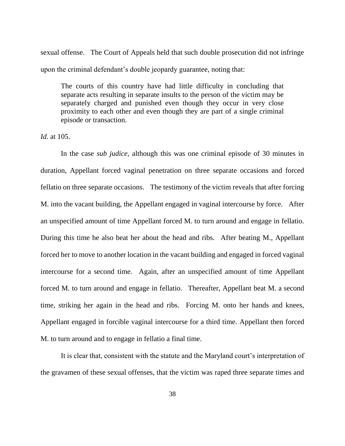sexual offense. The Court of Appeals held that such double prosecution did not infringe upon the criminal defendant's double jeopardy guarantee, noting that:

The courts of this country have had little difficulty in concluding that separate acts resulting in separate insults to the person of the victim may be separately charged and punished even though they occur in very close proximity to each other and even though they are part of a single criminal episode or transaction.

*Id.* at 105.

In the case *sub judice*, although this was one criminal episode of 30 minutes in duration, Appellant forced vaginal penetration on three separate occasions and forced fellatio on three separate occasions. The testimony of the victim reveals that after forcing M. into the vacant building, the Appellant engaged in vaginal intercourse by force. After an unspecified amount of time Appellant forced M. to turn around and engage in fellatio. During this time he also beat her about the head and ribs. After beating M., Appellant forced her to move to another location in the vacant building and engaged in forced vaginal intercourse for a second time. Again, after an unspecified amount of time Appellant forced M. to turn around and engage in fellatio. Thereafter, Appellant beat M. a second time, striking her again in the head and ribs. Forcing M. onto her hands and knees, Appellant engaged in forcible vaginal intercourse for a third time. Appellant then forced M. to turn around and to engage in fellatio a final time.

It is clear that, consistent with the statute and the Maryland court's interpretation of the gravamen of these sexual offenses, that the victim was raped three separate times and